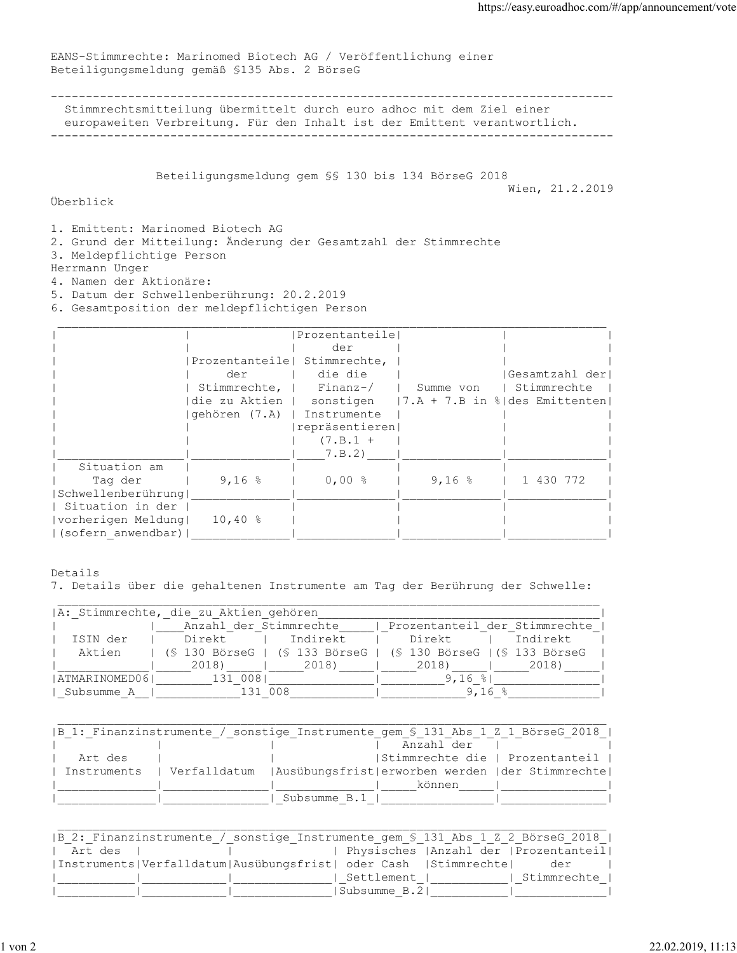EANS-Stimmrechte: Marinomed Biotech AG / Veröffentlichung einer Beteiligungsmeldung gemäß §135 Abs. 2 BörseG

-------------------------------------------------------------------------------- Stimmrechtsmitteilung übermittelt durch euro adhoc mit dem Ziel einer europaweiten Verbreitung. Für den Inhalt ist der Emittent verantwortlich. --------------------------------------------------------------------------------

Beteiligungsmeldung gem §§ 130 bis 134 BörseG 2018

Wien, 21.2.2019

## Überblick

1. Emittent: Marinomed Biotech AG

- 2. Grund der Mitteilung: Änderung der Gesamtzahl der Stimmrechte
- 3. Meldepflichtige Person
- Herrmann Unger
- 4. Namen der Aktionäre:
- 5. Datum der Schwellenberührung: 20.2.2019
- 6. Gesamtposition der meldepflichtigen Person

|                    |               | Prozentanteile               |           |                                                        |
|--------------------|---------------|------------------------------|-----------|--------------------------------------------------------|
|                    |               | der                          |           |                                                        |
|                    |               | Prozentanteile  Stimmrechte, |           |                                                        |
|                    | der           | die die                      |           | Gesamtzahl der                                         |
|                    | Stimmrechte,  | Finanz-/                     | Summe von | I Stimmrechte                                          |
|                    | die zu Aktien |                              |           | sonstigen $ 7.A + 7.B$ in $\frac{1}{6}$ des Emittenten |
|                    | qehören (7.A) | Instrumente                  |           |                                                        |
|                    |               | repräsentieren               |           |                                                        |
|                    |               | $(7.B.1 +$                   |           |                                                        |
|                    |               | 7.B.2)                       |           |                                                        |
| Situation am       |               |                              |           |                                                        |
| Tag der            | $9,16$ %      | $0,00$ %                     | $9,16$ %  | 1 430 772                                              |
| Schwellenberührung |               |                              |           |                                                        |
| Situation in der   |               |                              |           |                                                        |
| vorherigen Meldung | $10,40$ %     |                              |           |                                                        |
| (sofern anwendbar) |               |                              |           |                                                        |

Details

7. Details über die gehaltenen Instrumente am Tag der Berührung der Schwelle:

|               | A: Stimmrechte, die zu Aktien gehören |                                                               |                               |          |  |
|---------------|---------------------------------------|---------------------------------------------------------------|-------------------------------|----------|--|
|               | Anzahl der Stimmrechte                |                                                               | Prozentanteil der Stimmrechte |          |  |
| ISIN der      | Direkt                                | Indirekt                                                      | Direkt                        | Indirekt |  |
| Aktien        |                                       | (§ 130 BörseG   (§ 133 BörseG   (§ 130 BörseG   (§ 133 BörseG |                               |          |  |
|               | 2018)                                 | 2018)                                                         | 2018)                         | 2018)    |  |
| ATMARINOMED06 | 131 0081                              |                                                               | $9,16$ $8$                    |          |  |
| Subsumme A    |                                       | 131 008                                                       | 9.16                          |          |  |

|         |  |              | B 1: Finanzinstrumente / sonstige Instrumente gem § 131 Abs 1 Z 1 BörseG 2018   |  |
|---------|--|--------------|---------------------------------------------------------------------------------|--|
|         |  |              | Anzahl der                                                                      |  |
| Art des |  |              | Stimmrechte die   Prozentanteil                                                 |  |
|         |  |              | Instruments   Verfalldatum   Ausübungsfrist   erworben werden   der Stimmrechte |  |
|         |  |              | können                                                                          |  |
|         |  | Subsumme B.1 |                                                                                 |  |

| B 2: Finanzinstrumente / sonstige Instrumente gem § 131 Abs 1 Z 2 BörseG 2018  |
|--------------------------------------------------------------------------------|
| Physisches   Anzahl der   Prozentanteil <br>Art des                            |
| Instruments   Verfalldatum   Ausübungsfrist   oder Cash   Stimmrechte  <br>der |
| Stimmrechte<br>Settlement                                                      |
| Subsumme B.21                                                                  |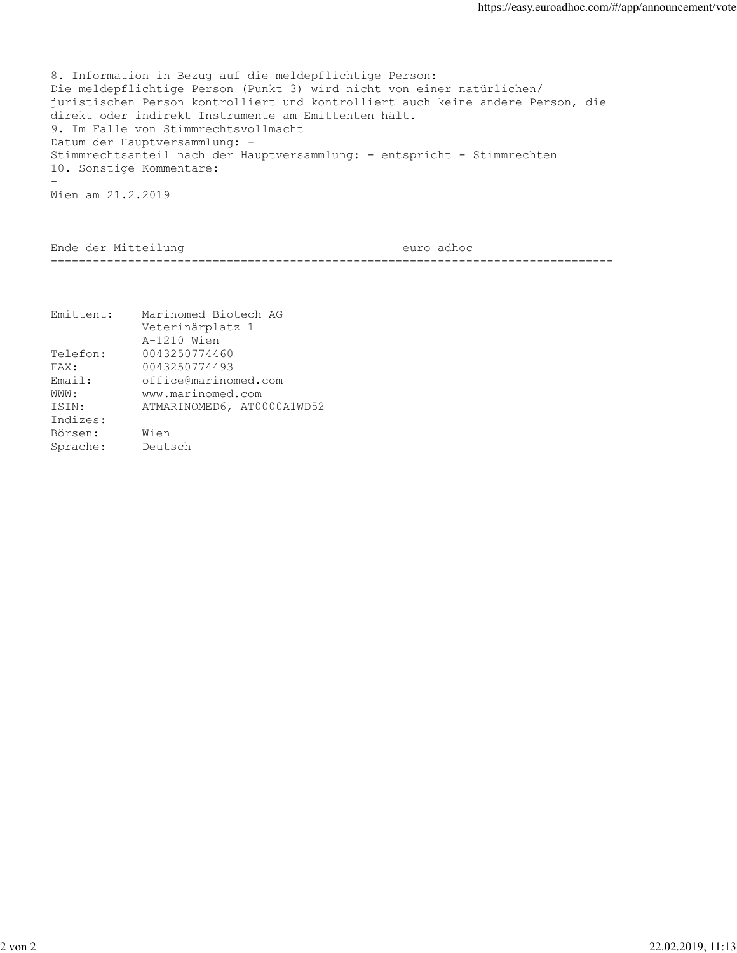8. Information in Bezug auf die meldepflichtige Person: Die meldepflichtige Person (Punkt 3) wird nicht von einer natürlichen/ juristischen Person kontrolliert und kontrolliert auch keine andere Person, die direkt oder indirekt Instrumente am Emittenten hält. 9. Im Falle von Stimmrechtsvollmacht Datum der Hauptversammlung: - Stimmrechtsanteil nach der Hauptversammlung: - entspricht - Stimmrechten 10. Sonstige Kommentare: **-** And the state of the state of the state of the state of the state of the state of the state of the state of the state of the state of the state of the state of the state of the state of the state of the state of the st Wien am 21.2.2019

Ende der Mitteilung euro adhoc --------------------------------------------------------------------------------

| Emittent: | Marinomed Biotech AG       |
|-----------|----------------------------|
|           | Veterinärplatz 1           |
|           | A-1210 Wien                |
| Telefon:  | 0043250774460              |
| FAX:      | 0043250774493              |
| Email:    | office@marinomed.com       |
| WWW :     | www.marinomed.com          |
| ISIN:     | ATMARINOMED6, AT0000A1WD52 |
| Indizes:  |                            |
| Börsen:   | Wien                       |
| Sprache:  | Deutsch                    |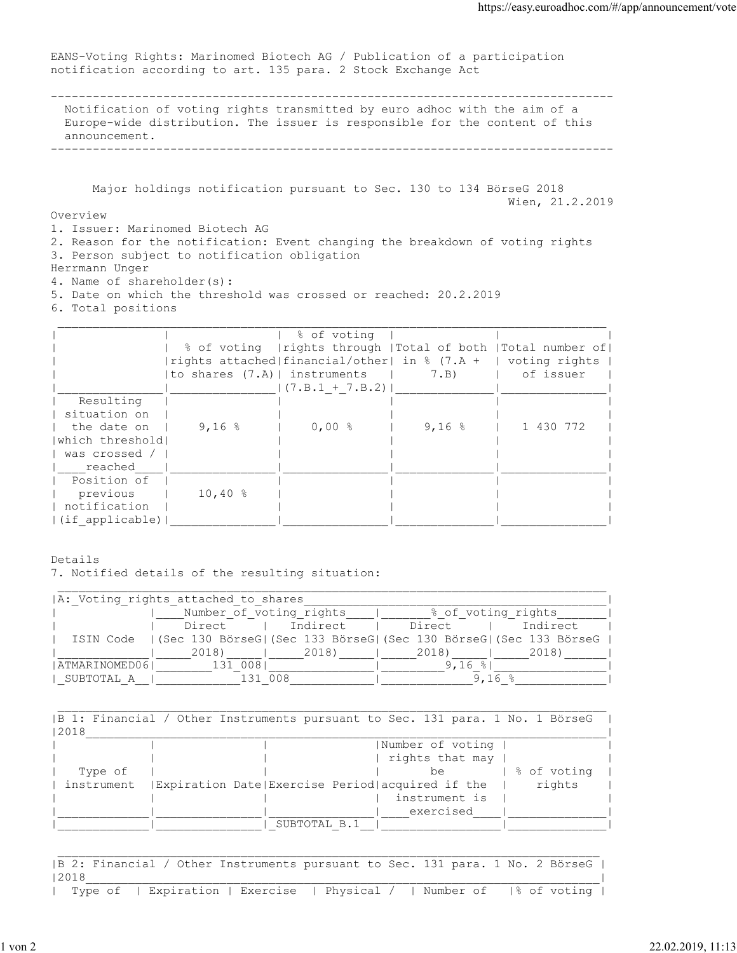EANS-Voting Rights: Marinomed Biotech AG / Publication of a participation notification according to art. 135 para. 2 Stock Exchange Act

-------------------------------------------------------------------------------- Notification of voting rights transmitted by euro adhoc with the aim of a Europe-wide distribution. The issuer is responsible for the content of this announcement.

--------------------------------------------------------------------------------

 Major holdings notification pursuant to Sec. 130 to 134 BörseG 2018 Wien, 21.2.2019

Overview

1. Issuer: Marinomed Biotech AG

2. Reason for the notification: Event changing the breakdown of voting rights 3. Person subject to notification obligation

Herrmann Unger

4. Name of shareholder(s):

5. Date on which the threshold was crossed or reached: 20.2.2019

6. Total positions

|                  |                    | % of voting                                                     |          |                                                                |
|------------------|--------------------|-----------------------------------------------------------------|----------|----------------------------------------------------------------|
|                  |                    |                                                                 |          | % of voting   rights through   Total of both   Total number of |
|                  |                    | rights attached  financial/other  in $%$ (7.A +   voting rights |          |                                                                |
|                  |                    | to shares $(7.A)$   instruments   $7.B$ )                       |          | of issuer                                                      |
|                  |                    | $ (7.B.1 + 7.B.2) $                                             |          |                                                                |
| Resulting        |                    |                                                                 |          |                                                                |
| situation on     |                    |                                                                 |          |                                                                |
| the date on      | 9,16 $\frac{8}{3}$ | $0,00$ %                                                        | $9,16$ % | 1 430 772                                                      |
| which threshold! |                    |                                                                 |          |                                                                |
| was crossed /    |                    |                                                                 |          |                                                                |
| reached          |                    |                                                                 |          |                                                                |
| Position of      |                    |                                                                 |          |                                                                |
| previous         | $10,40$ %          |                                                                 |          |                                                                |
| notification     |                    |                                                                 |          |                                                                |
| (if applicable)  |                    |                                                                 |          |                                                                |

Details 7. Notified details of the resulting situation:

|               | A: Voting rights attached to shares |                         |                                                                                |          |
|---------------|-------------------------------------|-------------------------|--------------------------------------------------------------------------------|----------|
|               |                                     | Number of voting rights | % of voting rights                                                             |          |
|               | Direct                              | Indirect                | Direct                                                                         | Indirect |
|               |                                     |                         | ISIN Code   (Sec 130 BörseG  (Sec 133 BörseG  (Sec 130 BörseG  (Sec 133 BörseG |          |
|               | 2018)                               | 2018)                   | 2018)                                                                          | 2018)    |
| ATMARINOMED06 | 131 0081                            |                         | 9,16 $\frac{8}{3}$                                                             |          |
| SUBTOTAL A    | 1 3 1                               | 008                     | 9.⊥6                                                                           |          |

| 2018    |                                                                |             |
|---------|----------------------------------------------------------------|-------------|
|         | Number of voting                                               |             |
|         | rights that may                                                |             |
| Type of | be.                                                            | % of voting |
|         | instrument   Expiration Date  Exercise Period  acquired if the | rights      |
|         | instrument is                                                  |             |
|         | exercised                                                      |             |
|         | SUBTOTAL B.1                                                   |             |

|B 2: Financial / Other Instruments pursuant to Sec. 131 para. 1 No. 2 BörseG |  $|2018$ | Type of | Expiration | Exercise | Physical / | Number of |% of voting |